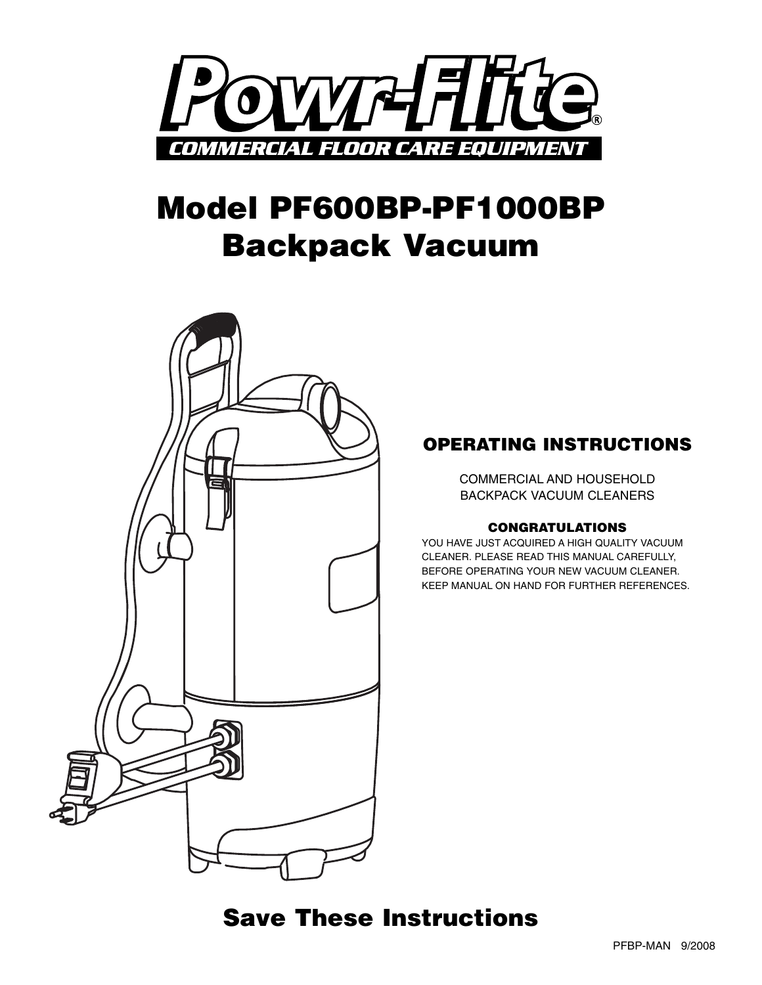

# **Model PF600BP-PF1000BP Backpack Vacuum**



### **OPERATING INSTRUCTIONS**

COMMERCIAL AND HOUSEHOLD BACKPACK VACUUM CLEANERS

#### **CONGRATULATIONS**

YOU HAVE JUST ACQUIRED A HIGH QUALITY VACUUM CLEANER. PLEASE READ THIS MANUAL CAREFULLY, BEFORE OPERATING YOUR NEW VACUUM CLEANER. KEEP MANUAL ON HAND FOR FURTHER REFERENCES.

### **Save These Instructions**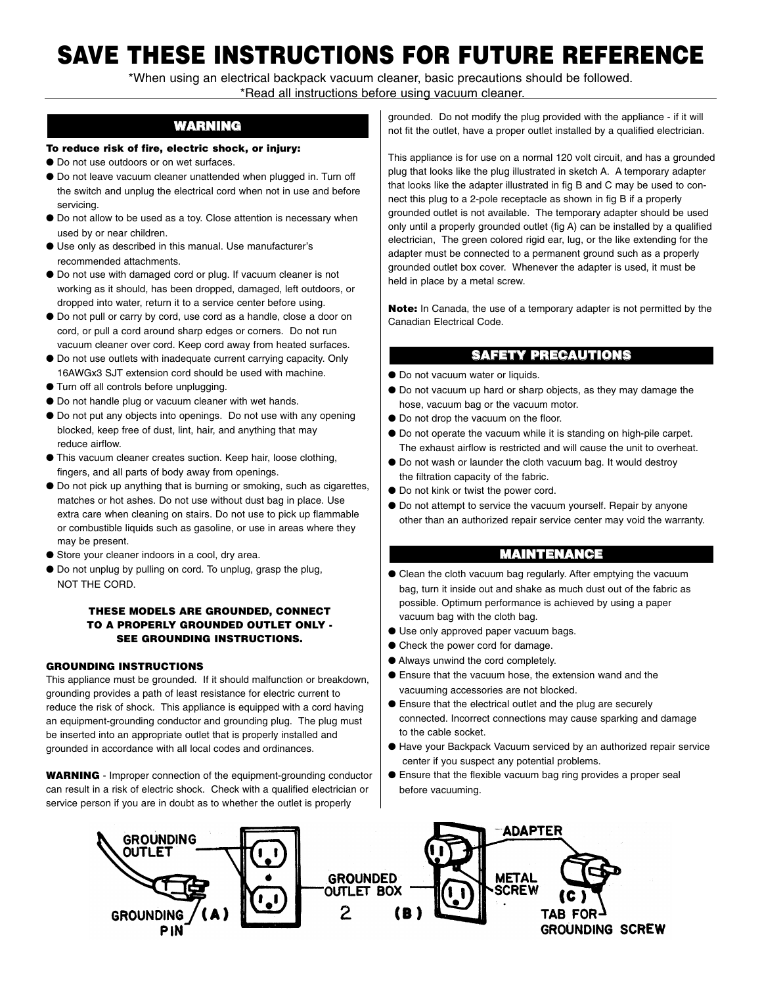## **SAVE THESE INSTRUCTIONS FOR FUTURE REFERENCE**

\*When using an electrical backpack vacuum cleaner, basic precautions should be followed. \*Read all instructions before using vacuum cleaner.

#### **WARNING**

#### **To reduce risk of fire, electric shock, or injury:**

- Do not use outdoors or on wet surfaces.
- Do not leave vacuum cleaner unattended when plugged in. Turn off the switch and unplug the electrical cord when not in use and before servicing.
- Do not allow to be used as a toy. Close attention is necessary when used by or near children.
- Use only as described in this manual. Use manufacturer's recommended attachments.
- Do not use with damaged cord or plug. If vacuum cleaner is not working as it should, has been dropped, damaged, left outdoors, or dropped into water, return it to a service center before using.
- Do not pull or carry by cord, use cord as a handle, close a door on cord, or pull a cord around sharp edges or corners. Do not run vacuum cleaner over cord. Keep cord away from heated surfaces.
- Do not use outlets with inadequate current carrying capacity. Only 16AWGx3 SJT extension cord should be used with machine.
- Turn off all controls before unplugging.
- Do not handle plug or vacuum cleaner with wet hands.
- Do not put any objects into openings. Do not use with any opening blocked, keep free of dust, lint, hair, and anything that may reduce airflow.
- This vacuum cleaner creates suction. Keep hair, loose clothing, fingers, and all parts of body away from openings.
- Do not pick up anything that is burning or smoking, such as cigarettes, matches or hot ashes. Do not use without dust bag in place. Use extra care when cleaning on stairs. Do not use to pick up flammable or combustible liquids such as gasoline, or use in areas where they may be present.
- Store your cleaner indoors in a cool, dry area.
- Do not unplug by pulling on cord. To unplug, grasp the plug, NOT THE CORD.

#### **THESE MODELS ARE GROUNDED, CONNECT TO A PROPERLY GROUNDED OUTLET ONLY - SEE GROUNDING INSTRUCTIONS.**

#### **GROUNDING INSTRUCTIONS**

This appliance must be grounded. If it should malfunction or breakdown, grounding provides a path of least resistance for electric current to reduce the risk of shock. This appliance is equipped with a cord having an equipment-grounding conductor and grounding plug. The plug must be inserted into an appropriate outlet that is properly installed and grounded in accordance with all local codes and ordinances.

**WARNING** - Improper connection of the equipment-grounding conductor can result in a risk of electric shock. Check with a qualified electrician or service person if you are in doubt as to whether the outlet is properly

grounded. Do not modify the plug provided with the appliance - if it will not fit the outlet, have a proper outlet installed by a qualified electrician.

This appliance is for use on a normal 120 volt circuit, and has a grounded plug that looks like the plug illustrated in sketch A. A temporary adapter that looks like the adapter illustrated in fig B and C may be used to connect this plug to a 2-pole receptacle as shown in fig B if a properly grounded outlet is not available. The temporary adapter should be used only until a properly grounded outlet (fig A) can be installed by a qualified electrician, The green colored rigid ear, lug, or the like extending for the adapter must be connected to a permanent ground such as a properly grounded outlet box cover. Whenever the adapter is used, it must be held in place by a metal screw.

**Note:** In Canada, the use of a temporary adapter is not permitted by the Canadian Electrical Code.

#### **SAFETY PRECAUTIONS**

- Do not vacuum water or liquids.
- Do not vacuum up hard or sharp objects, as they may damage the hose, vacuum bag or the vacuum motor.
- Do not drop the vacuum on the floor.
- Do not operate the vacuum while it is standing on high-pile carpet. The exhaust airflow is restricted and will cause the unit to overheat.
- Do not wash or launder the cloth vacuum bag. It would destroy the filtration capacity of the fabric.
- Do not kink or twist the power cord.
- Do not attempt to service the vacuum yourself. Repair by anyone other than an authorized repair service center may void the warranty.

#### **MAINTENANCE**

- Clean the cloth vacuum bag regularly. After emptying the vacuum bag, turn it inside out and shake as much dust out of the fabric as possible. Optimum performance is achieved by using a paper vacuum bag with the cloth bag.
- Use only approved paper vacuum bags.
- Check the power cord for damage.
- Always unwind the cord completely.
- Ensure that the vacuum hose, the extension wand and the vacuuming accessories are not blocked.
- Ensure that the electrical outlet and the plug are securely connected. Incorrect connections may cause sparking and damage to the cable socket.
- Have your Backpack Vacuum serviced by an authorized repair service center if you suspect any potential problems.
- Ensure that the flexible vacuum bag ring provides a proper seal before vacuuming.